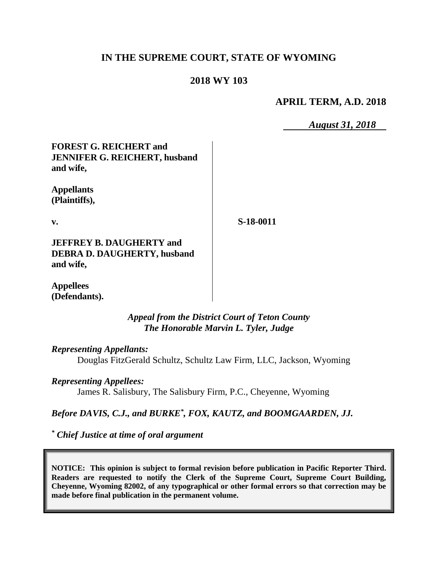# **IN THE SUPREME COURT, STATE OF WYOMING**

### **2018 WY 103**

### **APRIL TERM, A.D. 2018**

*August 31, 2018*

**FOREST G. REICHERT and JENNIFER G. REICHERT, husband and wife,**

**Appellants (Plaintiffs),**

**v.**

**S-18-0011**

**JEFFREY B. DAUGHERTY and DEBRA D. DAUGHERTY, husband and wife,**

**Appellees (Defendants).**

#### *Appeal from the District Court of Teton County The Honorable Marvin L. Tyler, Judge*

*Representing Appellants:*

Douglas FitzGerald Schultz, Schultz Law Firm, LLC, Jackson, Wyoming

#### *Representing Appellees:*

James R. Salisbury, The Salisbury Firm, P.C., Cheyenne, Wyoming

#### *Before DAVIS, C.J., and BURKE\* , FOX, KAUTZ, and BOOMGAARDEN, JJ.*

*\* Chief Justice at time of oral argument*

**NOTICE: This opinion is subject to formal revision before publication in Pacific Reporter Third. Readers are requested to notify the Clerk of the Supreme Court, Supreme Court Building, Cheyenne, Wyoming 82002, of any typographical or other formal errors so that correction may be made before final publication in the permanent volume.**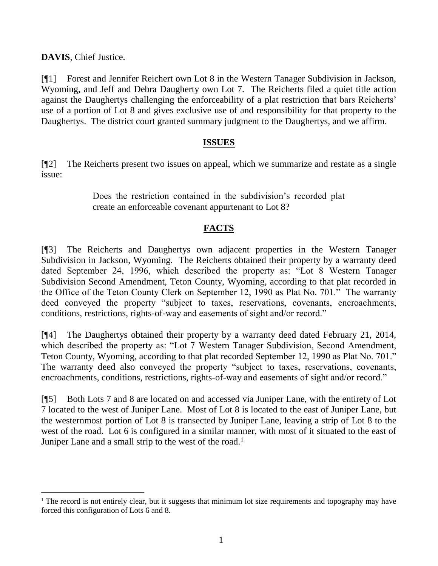**DAVIS**, Chief Justice.

l

[¶1] Forest and Jennifer Reichert own Lot 8 in the Western Tanager Subdivision in Jackson, Wyoming, and Jeff and Debra Daugherty own Lot 7. The Reicherts filed a quiet title action against the Daughertys challenging the enforceability of a plat restriction that bars Reicherts' use of a portion of Lot 8 and gives exclusive use of and responsibility for that property to the Daughertys. The district court granted summary judgment to the Daughertys, and we affirm.

## **ISSUES**

[¶2] The Reicherts present two issues on appeal, which we summarize and restate as a single issue:

> Does the restriction contained in the subdivision's recorded plat create an enforceable covenant appurtenant to Lot 8?

# **FACTS**

[¶3] The Reicherts and Daughertys own adjacent properties in the Western Tanager Subdivision in Jackson, Wyoming. The Reicherts obtained their property by a warranty deed dated September 24, 1996, which described the property as: "Lot 8 Western Tanager Subdivision Second Amendment, Teton County, Wyoming, according to that plat recorded in the Office of the Teton County Clerk on September 12, 1990 as Plat No. 701." The warranty deed conveyed the property "subject to taxes, reservations, covenants, encroachments, conditions, restrictions, rights-of-way and easements of sight and/or record."

[¶4] The Daughertys obtained their property by a warranty deed dated February 21, 2014, which described the property as: "Lot 7 Western Tanager Subdivision, Second Amendment, Teton County, Wyoming, according to that plat recorded September 12, 1990 as Plat No. 701." The warranty deed also conveyed the property "subject to taxes, reservations, covenants, encroachments, conditions, restrictions, rights-of-way and easements of sight and/or record."

[¶5] Both Lots 7 and 8 are located on and accessed via Juniper Lane, with the entirety of Lot 7 located to the west of Juniper Lane. Most of Lot 8 is located to the east of Juniper Lane, but the westernmost portion of Lot 8 is transected by Juniper Lane, leaving a strip of Lot 8 to the west of the road. Lot 6 is configured in a similar manner, with most of it situated to the east of Juniper Lane and a small strip to the west of the road.<sup>1</sup>

<sup>&</sup>lt;sup>1</sup> The record is not entirely clear, but it suggests that minimum lot size requirements and topography may have forced this configuration of Lots 6 and 8.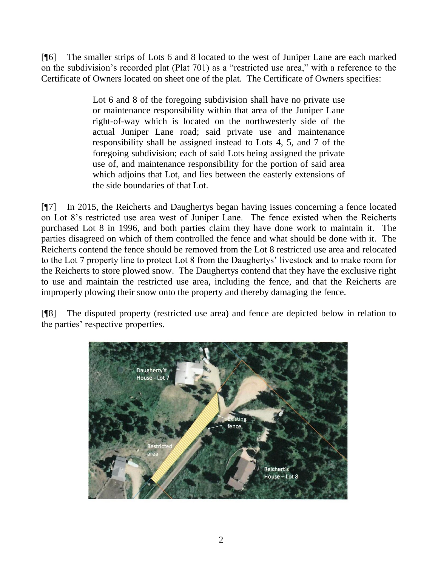[¶6] The smaller strips of Lots 6 and 8 located to the west of Juniper Lane are each marked on the subdivision's recorded plat (Plat 701) as a "restricted use area," with a reference to the Certificate of Owners located on sheet one of the plat. The Certificate of Owners specifies:

> Lot 6 and 8 of the foregoing subdivision shall have no private use or maintenance responsibility within that area of the Juniper Lane right-of-way which is located on the northwesterly side of the actual Juniper Lane road; said private use and maintenance responsibility shall be assigned instead to Lots 4, 5, and 7 of the foregoing subdivision; each of said Lots being assigned the private use of, and maintenance responsibility for the portion of said area which adjoins that Lot, and lies between the easterly extensions of the side boundaries of that Lot.

[¶7] In 2015, the Reicherts and Daughertys began having issues concerning a fence located on Lot 8's restricted use area west of Juniper Lane. The fence existed when the Reicherts purchased Lot 8 in 1996, and both parties claim they have done work to maintain it. The parties disagreed on which of them controlled the fence and what should be done with it. The Reicherts contend the fence should be removed from the Lot 8 restricted use area and relocated to the Lot 7 property line to protect Lot 8 from the Daughertys' livestock and to make room for the Reicherts to store plowed snow. The Daughertys contend that they have the exclusive right to use and maintain the restricted use area, including the fence, and that the Reicherts are improperly plowing their snow onto the property and thereby damaging the fence.

[¶8] The disputed property (restricted use area) and fence are depicted below in relation to the parties' respective properties.

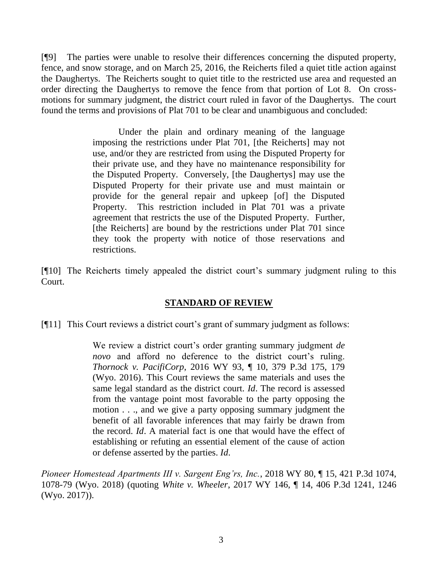[¶9] The parties were unable to resolve their differences concerning the disputed property, fence, and snow storage, and on March 25, 2016, the Reicherts filed a quiet title action against the Daughertys. The Reicherts sought to quiet title to the restricted use area and requested an order directing the Daughertys to remove the fence from that portion of Lot 8. On crossmotions for summary judgment, the district court ruled in favor of the Daughertys. The court found the terms and provisions of Plat 701 to be clear and unambiguous and concluded:

> Under the plain and ordinary meaning of the language imposing the restrictions under Plat 701, [the Reicherts] may not use, and/or they are restricted from using the Disputed Property for their private use, and they have no maintenance responsibility for the Disputed Property. Conversely, [the Daughertys] may use the Disputed Property for their private use and must maintain or provide for the general repair and upkeep [of] the Disputed Property. This restriction included in Plat 701 was a private agreement that restricts the use of the Disputed Property. Further, [the Reicherts] are bound by the restrictions under Plat 701 since they took the property with notice of those reservations and restrictions.

[¶10] The Reicherts timely appealed the district court's summary judgment ruling to this Court.

# **STANDARD OF REVIEW**

[¶11] This Court reviews a district court's grant of summary judgment as follows:

We review a district court's order granting summary judgment *de novo* and afford no deference to the district court's ruling. *Thornock v. PacifiCorp*[, 2016 WY 93, ¶ 10, 379 P.3d 175, 179](http://www.westlaw.com/Link/Document/FullText?findType=Y&serNum=2039785923&pubNum=0004645&originatingDoc=Idcbdbaf08a1811e881e3e57c1f40e5c7&refType=RP&fi=co_pp_sp_4645_179&originationContext=document&vr=3.0&rs=cblt1.0&transitionType=DocumentItem&contextData=(sc.Search)#co_pp_sp_4645_179)  [\(Wyo. 2016\).](http://www.westlaw.com/Link/Document/FullText?findType=Y&serNum=2039785923&pubNum=0004645&originatingDoc=Idcbdbaf08a1811e881e3e57c1f40e5c7&refType=RP&fi=co_pp_sp_4645_179&originationContext=document&vr=3.0&rs=cblt1.0&transitionType=DocumentItem&contextData=(sc.Search)#co_pp_sp_4645_179) This Court reviews the same materials and uses the same legal standard as the district court. *[Id](http://www.westlaw.com/Link/Document/FullText?findType=Y&serNum=2039785923&pubNum=0006431&originatingDoc=Idcbdbaf08a1811e881e3e57c1f40e5c7&refType=RP&originationContext=document&vr=3.0&rs=cblt1.0&transitionType=DocumentItem&contextData=(sc.Search))*. The record is assessed from the vantage point most favorable to the party opposing the motion . . ., and we give a party opposing summary judgment the benefit of all favorable inferences that may fairly be drawn from the record. *[Id](http://www.westlaw.com/Link/Document/FullText?findType=Y&serNum=2039785923&pubNum=0006431&originatingDoc=Idcbdbaf08a1811e881e3e57c1f40e5c7&refType=CA&originationContext=document&vr=3.0&rs=cblt1.0&transitionType=DocumentItem&contextData=(sc.Search))*. A material fact is one that would have the effect of establishing or refuting an essential element of the cause of action or defense asserted by the parties. *[Id](http://www.westlaw.com/Link/Document/FullText?findType=Y&serNum=2039785923&pubNum=0006431&originatingDoc=Idcbdbaf08a1811e881e3e57c1f40e5c7&refType=RP&originationContext=document&vr=3.0&rs=cblt1.0&transitionType=DocumentItem&contextData=(sc.Search))*.

*Pioneer Homestead Apartments III v. Sargent Eng'rs, Inc.*, 2018 WY 80, ¶ 15, 421 P.3d 1074, 1078-79 (Wyo. 2018) (quoting *White v. Wheeler*[, 2017 WY 146, ¶ 14, 406 P.3d 1241, 1246](http://www.westlaw.com/Link/Document/FullText?findType=Y&serNum=2043388423&pubNum=0004645&originatingDoc=Idcbdbaf08a1811e881e3e57c1f40e5c7&refType=RP&fi=co_pp_sp_4645_1246&originationContext=document&vr=3.0&rs=cblt1.0&transitionType=DocumentItem&contextData=(sc.Search)#co_pp_sp_4645_1246)  [\(Wyo. 2017\)\)](http://www.westlaw.com/Link/Document/FullText?findType=Y&serNum=2043388423&pubNum=0004645&originatingDoc=Idcbdbaf08a1811e881e3e57c1f40e5c7&refType=RP&fi=co_pp_sp_4645_1246&originationContext=document&vr=3.0&rs=cblt1.0&transitionType=DocumentItem&contextData=(sc.Search)#co_pp_sp_4645_1246).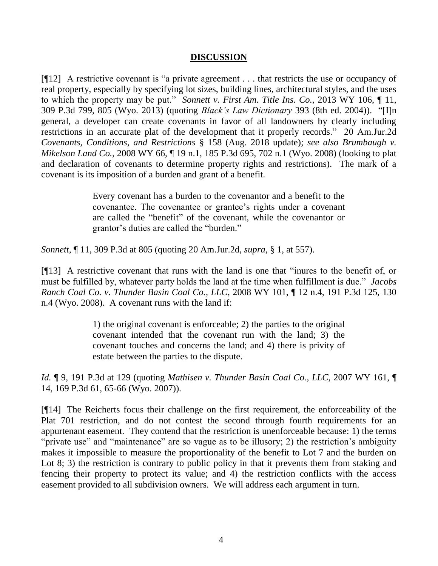#### **DISCUSSION**

[¶12] A restrictive covenant is "a private agreement . . . that restricts the use or occupancy of real property, especially by specifying lot sizes, building lines, architectural styles, and the uses to which the property may be put." *Sonnett v. First Am. Title Ins. Co.*, 2013 WY 106, ¶ 11, 309 P.3d 799, 805 (Wyo. 2013) (quoting *Black's Law Dictionary* 393 (8th ed. 2004)). "[I]n general, a developer can create covenants in favor of all landowners by clearly including restrictions in an accurate plat of the development that it properly records." 20 Am.Jur.2d *Covenants, Conditions, and Restrictions* § 158 (Aug. 2018 update); *see also Brumbaugh v. Mikelson Land Co.*, 2008 WY 66, ¶ 19 n.1, 185 P.3d 695, 702 n.1 (Wyo. 2008) (looking to plat and declaration of covenants to determine property rights and restrictions). The mark of a covenant is its imposition of a burden and grant of a benefit.

> Every covenant has a burden to the covenantor and a benefit to the covenantee. The covenantee or grantee's rights under a covenant are called the "benefit" of the covenant, while the covenantor or grantor's duties are called the "burden."

*Sonnett*, ¶ 11, 309 P.3d at 805 (quoting [20 Am.Jur.2d,](http://www.westlaw.com/Link/Document/FullText?findType=Y&serNum=0107491455&pubNum=0113391&originatingDoc=I7422589e1f8b11e3a341ea44e5e1f25f&refType=TS&originationContext=document&vr=3.0&rs=cblt1.0&transitionType=DocumentItem&contextData=(sc.UserEnteredCitation)) *supra*, § 1, at 557).

[¶13] A restrictive covenant that runs with the land is one that "inures to the benefit of, or must be fulfilled by, whatever party holds the land at the time when fulfillment is due." *Jacobs Ranch Coal Co. v. Thunder Basin Coal Co., LLC*, 2008 WY 101, ¶ 12 n.4, 191 P.3d 125, 130 n.4 (Wyo. 2008). A covenant runs with the land if:

> 1) the original covenant is enforceable; 2) the parties to the original covenant intended that the covenant run with the land; 3) the covenant touches and concerns the land; and 4) there is privity of estate between the parties to the dispute.

*Id.* ¶ 9, 191 P.3d at 129 (quoting *[Mathisen v. Thunder Basin Coal Co., LLC](http://www.westlaw.com/Link/Document/FullText?findType=Y&serNum=2013601127&pubNum=0004645&originatingDoc=Ida8f26f2754911ddb6a3a099756c05b7&refType=RP&originationContext=document&vr=3.0&rs=cblt1.0&transitionType=DocumentItem&contextData=(sc.Keycite))*, 2007 WY 161, ¶ [14, 169 P.3d 61, 65-66](http://www.westlaw.com/Link/Document/FullText?findType=Y&serNum=2013601127&pubNum=0004645&originatingDoc=Ida8f26f2754911ddb6a3a099756c05b7&refType=RP&originationContext=document&vr=3.0&rs=cblt1.0&transitionType=DocumentItem&contextData=(sc.Keycite)) (Wyo. 2007)).

[¶14] The Reicherts focus their challenge on the first requirement, the enforceability of the Plat 701 restriction, and do not contest the second through fourth requirements for an appurtenant easement. They contend that the restriction is unenforceable because: 1) the terms "private use" and "maintenance" are so vague as to be illusory; 2) the restriction's ambiguity makes it impossible to measure the proportionality of the benefit to Lot 7 and the burden on Lot 8; 3) the restriction is contrary to public policy in that it prevents them from staking and fencing their property to protect its value; and 4) the restriction conflicts with the access easement provided to all subdivision owners. We will address each argument in turn.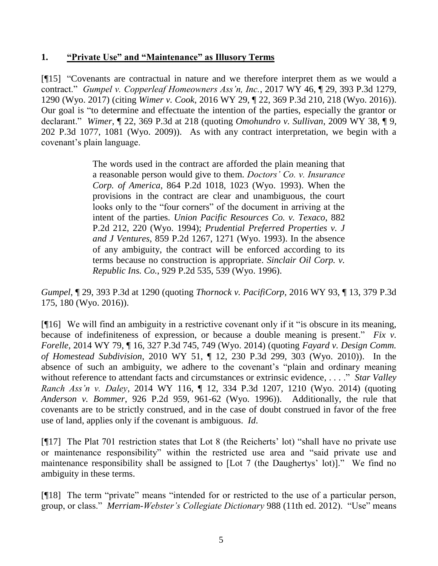### **1. "Private Use" and "Maintenance" as Illusory Terms**

[¶15] "Covenants are contractual in nature and we therefore interpret them as we would a contract." *Gumpel v. Copperleaf Homeowners Ass'n, Inc.*, 2017 WY 46, ¶ 29, 393 P.3d 1279, 1290 (Wyo. 2017) (citing *Wimer v. Cook*[, 2016 WY 29, ¶ 22, 369 P.3d 210, 218 \(Wyo. 2016\)\)](http://www.westlaw.com/Link/Document/FullText?findType=Y&serNum=2038421108&pubNum=0004645&originatingDoc=I32b4e75030e511e7afe7804507f6db3f&refType=RP&fi=co_pp_sp_4645_218&originationContext=document&vr=3.0&rs=cblt1.0&transitionType=DocumentItem&contextData=(sc.Search)#co_pp_sp_4645_218). Our goal is "to determine and effectuate the intention of the parties, especially the grantor or declarant." *Wimer*, ¶ 22, 369 P.3d at 218 (quoting *[Omohundro v. Sullivan](http://www.westlaw.com/Link/Document/FullText?findType=Y&serNum=2018332700&pubNum=0004645&originatingDoc=I0552b0eae3b111e590d4edf60ce7d742&refType=RP&fi=co_pp_sp_4645_1081&originationContext=document&vr=3.0&rs=cblt1.0&transitionType=DocumentItem&contextData=(sc.DocLink)#co_pp_sp_4645_1081)*, 2009 WY 38, ¶ 9, [202 P.3d 1077, 1081 \(Wyo.](http://www.westlaw.com/Link/Document/FullText?findType=Y&serNum=2018332700&pubNum=0004645&originatingDoc=I0552b0eae3b111e590d4edf60ce7d742&refType=RP&fi=co_pp_sp_4645_1081&originationContext=document&vr=3.0&rs=cblt1.0&transitionType=DocumentItem&contextData=(sc.DocLink)#co_pp_sp_4645_1081) 2009)). As with any contract interpretation, we begin with a covenant's plain language.

> The words used in the contract are afforded the plain meaning that a reasonable person would give to them. *[Doctors' Co. v. Insurance](http://www.westlaw.com/Link/Document/FullText?findType=Y&serNum=1993228400&pubNum=0000661&originatingDoc=I32b4e75030e511e7afe7804507f6db3f&refType=RP&fi=co_pp_sp_661_1023&originationContext=document&vr=3.0&rs=cblt1.0&transitionType=DocumentItem&contextData=(sc.Search)#co_pp_sp_661_1023)  Corp. of America*[, 864 P.2d 1018, 1023 \(Wyo.](http://www.westlaw.com/Link/Document/FullText?findType=Y&serNum=1993228400&pubNum=0000661&originatingDoc=I32b4e75030e511e7afe7804507f6db3f&refType=RP&fi=co_pp_sp_661_1023&originationContext=document&vr=3.0&rs=cblt1.0&transitionType=DocumentItem&contextData=(sc.Search)#co_pp_sp_661_1023) 1993). When the provisions in the contract are clear and unambiguous, the court looks only to the "four corners" of the document in arriving at the intent of the parties. *[Union Pacific Resources Co. v. Texaco](http://www.westlaw.com/Link/Document/FullText?findType=Y&serNum=1994196633&pubNum=0000661&originatingDoc=I32b4e75030e511e7afe7804507f6db3f&refType=RP&fi=co_pp_sp_661_220&originationContext=document&vr=3.0&rs=cblt1.0&transitionType=DocumentItem&contextData=(sc.Search)#co_pp_sp_661_220)*, 882 [P.2d 212, 220 \(Wyo.](http://www.westlaw.com/Link/Document/FullText?findType=Y&serNum=1994196633&pubNum=0000661&originatingDoc=I32b4e75030e511e7afe7804507f6db3f&refType=RP&fi=co_pp_sp_661_220&originationContext=document&vr=3.0&rs=cblt1.0&transitionType=DocumentItem&contextData=(sc.Search)#co_pp_sp_661_220) 1994); *[Prudential Preferred Properties v. J](http://www.westlaw.com/Link/Document/FullText?findType=Y&serNum=1993179048&pubNum=0000661&originatingDoc=I32b4e75030e511e7afe7804507f6db3f&refType=RP&fi=co_pp_sp_661_1271&originationContext=document&vr=3.0&rs=cblt1.0&transitionType=DocumentItem&contextData=(sc.Search)#co_pp_sp_661_1271)  and J Ventures*[, 859 P.2d 1267, 1271 \(Wyo. 1993\).](http://www.westlaw.com/Link/Document/FullText?findType=Y&serNum=1993179048&pubNum=0000661&originatingDoc=I32b4e75030e511e7afe7804507f6db3f&refType=RP&fi=co_pp_sp_661_1271&originationContext=document&vr=3.0&rs=cblt1.0&transitionType=DocumentItem&contextData=(sc.Search)#co_pp_sp_661_1271) In the absence of any ambiguity, the contract will be enforced according to its terms because no construction is appropriate. *[Sinclair Oil Corp. v.](http://www.westlaw.com/Link/Document/FullText?findType=Y&serNum=1996283405&pubNum=0000661&originatingDoc=I32b4e75030e511e7afe7804507f6db3f&refType=RP&fi=co_pp_sp_661_539&originationContext=document&vr=3.0&rs=cblt1.0&transitionType=DocumentItem&contextData=(sc.Search)#co_pp_sp_661_539)  Republic Ins. Co.*[, 929 P.2d 535, 539 \(Wyo.](http://www.westlaw.com/Link/Document/FullText?findType=Y&serNum=1996283405&pubNum=0000661&originatingDoc=I32b4e75030e511e7afe7804507f6db3f&refType=RP&fi=co_pp_sp_661_539&originationContext=document&vr=3.0&rs=cblt1.0&transitionType=DocumentItem&contextData=(sc.Search)#co_pp_sp_661_539) 1996).

*Gumpel*, ¶ 29, 393 P.3d at 1290 (quoting *Thornock v. PacifiCorp*[, 2016 WY 93, ¶ 13, 379 P.3d](http://www.westlaw.com/Link/Document/FullText?findType=Y&serNum=2039785923&pubNum=0004645&originatingDoc=I32b4e75030e511e7afe7804507f6db3f&refType=RP&fi=co_pp_sp_4645_180&originationContext=document&vr=3.0&rs=cblt1.0&transitionType=DocumentItem&contextData=(sc.Search)#co_pp_sp_4645_180)  [175, 180 \(Wyo. 2016\)\)](http://www.westlaw.com/Link/Document/FullText?findType=Y&serNum=2039785923&pubNum=0004645&originatingDoc=I32b4e75030e511e7afe7804507f6db3f&refType=RP&fi=co_pp_sp_4645_180&originationContext=document&vr=3.0&rs=cblt1.0&transitionType=DocumentItem&contextData=(sc.Search)#co_pp_sp_4645_180).

[¶16] We will find an ambiguity in a restrictive covenant only if it "is obscure in its meaning, because of indefiniteness of expression, or because a double meaning is present." *Fix v. Forelle*, 2014 WY 79, ¶ 16, 327 P.3d 745, 749 (Wyo. 2014) (quoting *[Fayard v. Design Comm.](http://www.westlaw.com/Link/Document/FullText?findType=Y&serNum=2021825765&pubNum=0004645&originatingDoc=I49cdb8ecf7b011e3b4bafa136b480ad2&refType=RP&fi=co_pp_sp_4645_303&originationContext=document&vr=3.0&rs=cblt1.0&transitionType=DocumentItem&contextData=(sc.Keycite)#co_pp_sp_4645_303)  of Homestead Subdivision*[, 2010 WY 51, ¶ 12, 230 P.3d 299, 303 \(Wyo.](http://www.westlaw.com/Link/Document/FullText?findType=Y&serNum=2021825765&pubNum=0004645&originatingDoc=I49cdb8ecf7b011e3b4bafa136b480ad2&refType=RP&fi=co_pp_sp_4645_303&originationContext=document&vr=3.0&rs=cblt1.0&transitionType=DocumentItem&contextData=(sc.Keycite)#co_pp_sp_4645_303) 2010)). In the absence of such an ambiguity, we adhere to the covenant's "plain and ordinary meaning without reference to attendant facts and circumstances or extrinsic evidence, . . . ." *Star Valley Ranch Ass'n v. Daley*, 2014 WY 116, ¶ 12, 334 P.3d 1207, 1210 (Wyo. 2014) (quoting *Anderson v. Bommer*[, 926 P.2d 959, 961-62 \(Wyo.](http://www.westlaw.com/Link/Document/FullText?findType=Y&serNum=1996260557&pubNum=0000661&originatingDoc=Iff0ad5e23e9011e4b86bd602cb8781fa&refType=RP&fi=co_pp_sp_661_961&originationContext=document&vr=3.0&rs=cblt1.0&transitionType=DocumentItem&contextData=(sc.UserEnteredCitation)#co_pp_sp_661_961) 1996)). Additionally, the rule that covenants are to be strictly construed, and in the case of doubt construed in favor of the free use of land, applies only if the covenant is ambiguous. *Id*.

[¶17] The Plat 701 restriction states that Lot 8 (the Reicherts' lot) "shall have no private use or maintenance responsibility" within the restricted use area and "said private use and maintenance responsibility shall be assigned to [Lot 7 (the Daughertys' lot)]." We find no ambiguity in these terms.

[¶18] The term "private" means "intended for or restricted to the use of a particular person, group, or class." *Merriam-Webster's Collegiate Dictionary* 988 (11th ed. 2012). "Use" means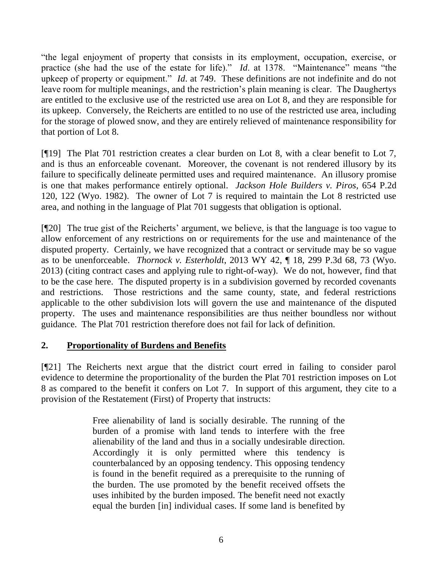"the legal enjoyment of property that consists in its employment, occupation, exercise, or practice (she had the use of the estate for life)." *Id*. at 1378. "Maintenance" means "the upkeep of property or equipment." *Id*. at 749. These definitions are not indefinite and do not leave room for multiple meanings, and the restriction's plain meaning is clear. The Daughertys are entitled to the exclusive use of the restricted use area on Lot 8, and they are responsible for its upkeep. Conversely, the Reicherts are entitled to no use of the restricted use area, including for the storage of plowed snow, and they are entirely relieved of maintenance responsibility for that portion of Lot 8.

[¶19] The Plat 701 restriction creates a clear burden on Lot 8, with a clear benefit to Lot 7, and is thus an enforceable covenant. Moreover, the covenant is not rendered illusory by its failure to specifically delineate permitted uses and required maintenance. An illusory promise is one that makes performance entirely optional. *Jackson Hole Builders v. Piros*, 654 P.2d 120, 122 (Wyo. 1982). The owner of Lot 7 is required to maintain the Lot 8 restricted use area, and nothing in the language of Plat 701 suggests that obligation is optional.

[¶20] The true gist of the Reicherts' argument, we believe, is that the language is too vague to allow enforcement of any restrictions on or requirements for the use and maintenance of the disputed property. Certainly, we have recognized that a contract or servitude may be so vague as to be unenforceable. *Thornock v. Esterholdt*, 2013 WY 42, ¶ 18, 299 P.3d 68, 73 (Wyo. 2013) (citing contract cases and applying rule to right-of-way). We do not, however, find that to be the case here. The disputed property is in a subdivision governed by recorded covenants and restrictions. Those restrictions and the same county, state, and federal restrictions applicable to the other subdivision lots will govern the use and maintenance of the disputed property. The uses and maintenance responsibilities are thus neither boundless nor without guidance. The Plat 701 restriction therefore does not fail for lack of definition.

## **2. Proportionality of Burdens and Benefits**

[¶21] The Reicherts next argue that the district court erred in failing to consider parol evidence to determine the proportionality of the burden the Plat 701 restriction imposes on Lot 8 as compared to the benefit it confers on Lot 7. In support of this argument, they cite to a provision of the Restatement (First) of Property that instructs:

> Free alienability of land is socially desirable. The running of the burden of a promise with land tends to interfere with the free alienability of the land and thus in a socially undesirable direction. Accordingly it is only permitted where this tendency is counterbalanced by an opposing tendency. This opposing tendency is found in the benefit required as a prerequisite to the running of the burden. The use promoted by the benefit received offsets the uses inhibited by the burden imposed. The benefit need not exactly equal the burden [in] individual cases. If some land is benefited by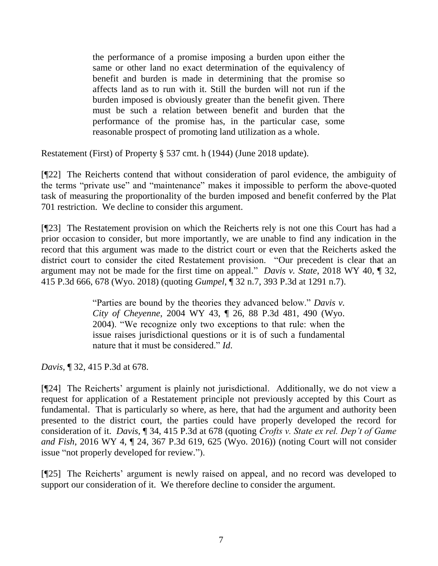the performance of a promise imposing a burden upon either the same or other land no exact determination of the equivalency of benefit and burden is made in determining that the promise so affects land as to run with it. Still the burden will not run if the burden imposed is obviously greater than the benefit given. There must be such a relation between benefit and burden that the performance of the promise has, in the particular case, some reasonable prospect of promoting land utilization as a whole.

Restatement (First) of Property § 537 cmt. h (1944) (June 2018 update).

[¶22] The Reicherts contend that without consideration of parol evidence, the ambiguity of the terms "private use" and "maintenance" makes it impossible to perform the above-quoted task of measuring the proportionality of the burden imposed and benefit conferred by the Plat 701 restriction. We decline to consider this argument.

[¶23] The Restatement provision on which the Reicherts rely is not one this Court has had a prior occasion to consider, but more importantly, we are unable to find any indication in the record that this argument was made to the district court or even that the Reicherts asked the district court to consider the cited Restatement provision. "Our precedent is clear that an argument may not be made for the first time on appeal." *Davis v. State*, 2018 WY 40, ¶ 32, 415 P.3d 666, 678 (Wyo. 2018) (quoting *Gumpel*, ¶ 32 n.7, 393 P.3d at 1291 n.7).

> "Parties are bound by the theories they advanced below." *[Davis v.](http://www.westlaw.com/Link/Document/FullText?findType=Y&serNum=2004343473&pubNum=0004645&originatingDoc=I6a012f703f7b11e884b4b523d54ea998&refType=RP&fi=co_pp_sp_4645_490&originationContext=document&vr=3.0&rs=cblt1.0&transitionType=DocumentItem&contextData=(sc.Keycite)#co_pp_sp_4645_490)  City of Cheyenne*[, 2004 WY 43, ¶ 26, 88 P.3d 481, 490 \(Wyo.](http://www.westlaw.com/Link/Document/FullText?findType=Y&serNum=2004343473&pubNum=0004645&originatingDoc=I6a012f703f7b11e884b4b523d54ea998&refType=RP&fi=co_pp_sp_4645_490&originationContext=document&vr=3.0&rs=cblt1.0&transitionType=DocumentItem&contextData=(sc.Keycite)#co_pp_sp_4645_490)  [2004\).](http://www.westlaw.com/Link/Document/FullText?findType=Y&serNum=2004343473&pubNum=0004645&originatingDoc=I6a012f703f7b11e884b4b523d54ea998&refType=RP&fi=co_pp_sp_4645_490&originationContext=document&vr=3.0&rs=cblt1.0&transitionType=DocumentItem&contextData=(sc.Keycite)#co_pp_sp_4645_490) "We recognize only two exceptions to that rule: when the issue raises jurisdictional questions or it is of such a fundamental nature that it must be considered." *[Id](http://www.westlaw.com/Link/Document/FullText?findType=Y&serNum=2004343473&pubNum=0006431&originatingDoc=I6a012f703f7b11e884b4b523d54ea998&refType=RP&originationContext=document&vr=3.0&rs=cblt1.0&transitionType=DocumentItem&contextData=(sc.Keycite))*.

*Davis*, ¶ 32, 415 P.3d at 678.

[¶24] The Reicherts' argument is plainly not jurisdictional. Additionally, we do not view a request for application of a Restatement principle not previously accepted by this Court as fundamental. That is particularly so where, as here, that had the argument and authority been presented to the district court, the parties could have properly developed the record for consideration of it. *Davis*, ¶ 34, 415 P.3d at 678 (quoting *[Crofts v. State ex rel. Dep't of Game](http://www.westlaw.com/Link/Document/FullText?findType=Y&serNum=2037966979&pubNum=0004645&originatingDoc=I6a012f703f7b11e884b4b523d54ea998&refType=RP&fi=co_pp_sp_4645_624&originationContext=document&vr=3.0&rs=cblt1.0&transitionType=DocumentItem&contextData=(sc.Keycite)#co_pp_sp_4645_624)  and Fish*[, 2016 WY 4, ¶ 24, 367 P.3d 619, 625](http://www.westlaw.com/Link/Document/FullText?findType=Y&serNum=2037966979&pubNum=0004645&originatingDoc=I6a012f703f7b11e884b4b523d54ea998&refType=RP&fi=co_pp_sp_4645_624&originationContext=document&vr=3.0&rs=cblt1.0&transitionType=DocumentItem&contextData=(sc.Keycite)#co_pp_sp_4645_624) (Wyo. 2016)) (noting Court will not consider issue "not properly developed for review.").

[¶25] The Reicherts' argument is newly raised on appeal, and no record was developed to support our consideration of it. We therefore decline to consider the argument.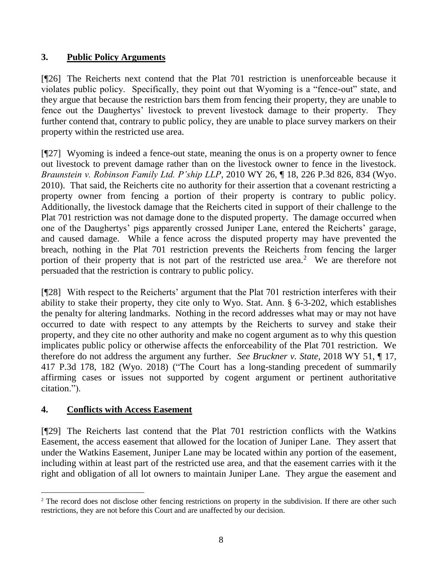# **3. Public Policy Arguments**

[¶26] The Reicherts next contend that the Plat 701 restriction is unenforceable because it violates public policy. Specifically, they point out that Wyoming is a "fence-out" state, and they argue that because the restriction bars them from fencing their property, they are unable to fence out the Daughertys' livestock to prevent livestock damage to their property. They further contend that, contrary to public policy, they are unable to place survey markers on their property within the restricted use area.

[¶27] Wyoming is indeed a fence-out state, meaning the onus is on a property owner to fence out livestock to prevent damage rather than on the livestock owner to fence in the livestock. *Braunstein v. Robinson Family Ltd. P'ship LLP*, 2010 WY 26, ¶ 18, 226 P.3d 826, 834 (Wyo. 2010). That said, the Reicherts cite no authority for their assertion that a covenant restricting a property owner from fencing a portion of their property is contrary to public policy. Additionally, the livestock damage that the Reicherts cited in support of their challenge to the Plat 701 restriction was not damage done to the disputed property. The damage occurred when one of the Daughertys' pigs apparently crossed Juniper Lane, entered the Reicherts' garage, and caused damage. While a fence across the disputed property may have prevented the breach, nothing in the Plat 701 restriction prevents the Reicherts from fencing the larger portion of their property that is not part of the restricted use area.<sup>2</sup> We are therefore not persuaded that the restriction is contrary to public policy.

[¶28] With respect to the Reicherts' argument that the Plat 701 restriction interferes with their ability to stake their property, they cite only to Wyo. Stat. Ann. § 6-3-202, which establishes the penalty for altering landmarks. Nothing in the record addresses what may or may not have occurred to date with respect to any attempts by the Reicherts to survey and stake their property, and they cite no other authority and make no cogent argument as to why this question implicates public policy or otherwise affects the enforceability of the Plat 701 restriction. We therefore do not address the argument any further. *See Bruckner v. State*, 2018 WY 51, ¶ 17, 417 P.3d 178, 182 (Wyo. 2018) ("The Court has a long-standing precedent of summarily affirming cases or issues not supported by cogent argument or pertinent authoritative citation.").

# **4. Conflicts with Access Easement**

l

[¶29] The Reicherts last contend that the Plat 701 restriction conflicts with the Watkins Easement, the access easement that allowed for the location of Juniper Lane. They assert that under the Watkins Easement, Juniper Lane may be located within any portion of the easement, including within at least part of the restricted use area, and that the easement carries with it the right and obligation of all lot owners to maintain Juniper Lane. They argue the easement and

<sup>&</sup>lt;sup>2</sup> The record does not disclose other fencing restrictions on property in the subdivision. If there are other such restrictions, they are not before this Court and are unaffected by our decision.